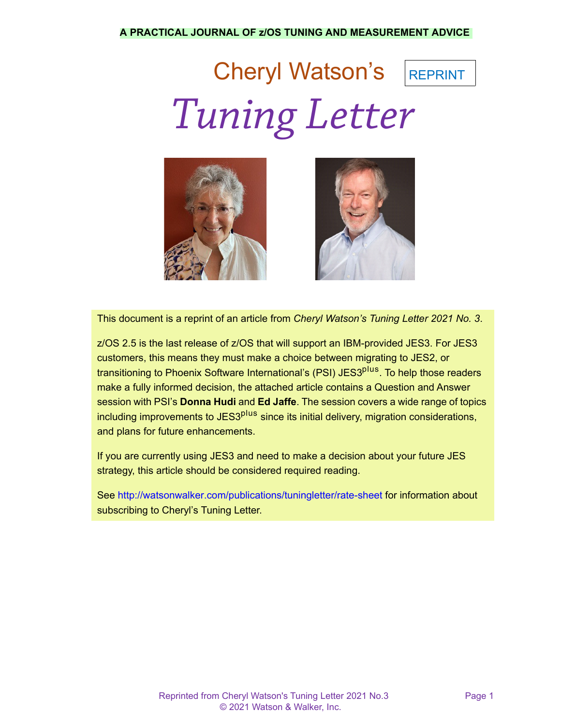## Cheryl Watson's REPRINT *Tuning Letter*





This document is a reprint of an article from *Cheryl Watson's Tuning Letter 2021 No. 3*.

z/OS 2.5 is the last release of z/OS that will support an IBM-provided JES3. For JES3 customers, this means they must make a choice between migrating to JES2, or transitioning to Phoenix Software International's (PSI) JES3<sup>plus</sup>. To help those readers make a fully informed decision, the attached article contains a Question and Answer session with PSI's **Donna Hudi** and **Ed Jaffe**. The session covers a wide range of topics including improvements to JES3<sup>plus</sup> since its initial delivery, migration considerations, and plans for future enhancements.

If you are currently using JES3 and need to make a decision about your future JES strategy, this article should be considered required reading.

See <http://watsonwalker.com/publications/tuningletter/rate-sheet> for information about subscribing to Cheryl's Tuning Letter.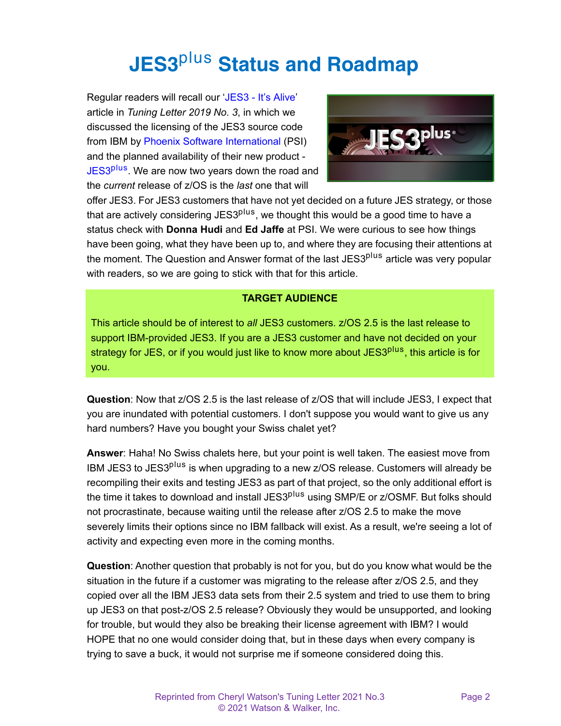## **JES3**plus **Status and Roadmap**

Regular readers will recall our '[JES3 - It's Alive](https://watsonwalkerpublications.com/pdf/2019-03-006.PDF)' article in *Tuning Letter 2019 No. 3*, in which we discussed the licensing of the JES3 source code from IBM by [Phoenix Software International](https://phoenixsoftware.com/products.php?MAIN) (PSI) and the planned availability of their new product - [JES3](https://phoenixsoftware.com/jes3plus.htm)<sup>plus</sup>. We are now two years down the road and the *current* release of z/OS is the *last* one that will



offer JES3. For JES3 customers that have not yet decided on a future JES strategy, or those that are actively considering JES3<sup>plus</sup>, we thought this would be a good time to have a status check with **Donna Hudi** and **Ed Jaffe** at PSI. We were curious to see how things have been going, what they have been up to, and where they are focusing their attentions at the moment. The Question and Answer format of the last JES3<sup>plus</sup> article was very popular with readers, so we are going to stick with that for this article.

## **TARGET AUDIENCE**

This article should be of interest to *all* JES3 customers. z/OS 2.5 is the last release to support IBM-provided JES3. If you are a JES3 customer and have not decided on your strategy for JES, or if you would just like to know more about JES3<sup>plus</sup>, this article is for you.

**Question**: Now that z/OS 2.5 is the last release of z/OS that will include JES3, I expect that you are inundated with potential customers. I don't suppose you would want to give us any hard numbers? Have you bought your Swiss chalet yet?

**Answer**: Haha! No Swiss chalets here, but your point is well taken. The easiest move from IBM JES3 to JES3<sup>plus</sup> is when upgrading to a new z/OS release. Customers will already be recompiling their exits and testing JES3 as part of that project, so the only additional effort is the time it takes to download and install JES3<sup>plus</sup> using SMP/E or z/OSMF. But folks should not procrastinate, because waiting until the release after z/OS 2.5 to make the move severely limits their options since no IBM fallback will exist. As a result, we're seeing a lot of activity and expecting even more in the coming months.

**Question**: Another question that probably is not for you, but do you know what would be the situation in the future if a customer was migrating to the release after z/OS 2.5, and they copied over all the IBM JES3 data sets from their 2.5 system and tried to use them to bring up JES3 on that post-z/OS 2.5 release? Obviously they would be unsupported, and looking for trouble, but would they also be breaking their license agreement with IBM? I would HOPE that no one would consider doing that, but in these days when every company is trying to save a buck, it would not surprise me if someone considered doing this.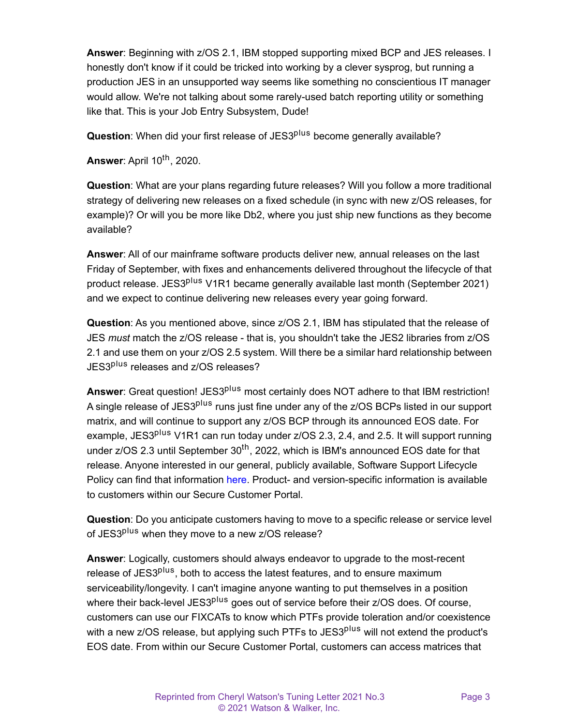**Answer**: Beginning with z/OS 2.1, IBM stopped supporting mixed BCP and JES releases. I honestly don't know if it could be tricked into working by a clever sysprog, but running a production JES in an unsupported way seems like something no conscientious IT manager would allow. We're not talking about some rarely-used batch reporting utility or something like that. This is your Job Entry Subsystem, Dude!

**Question**: When did your first release of JES3<sup>plus</sup> become generally available?

**Answer:** April 10<sup>th</sup>, 2020.

**Question**: What are your plans regarding future releases? Will you follow a more traditional strategy of delivering new releases on a fixed schedule (in sync with new z/OS releases, for example)? Or will you be more like Db2, where you just ship new functions as they become available?

**Answer**: All of our mainframe software products deliver new, annual releases on the last Friday of September, with fixes and enhancements delivered throughout the lifecycle of that product release. JES3<sup>plus</sup> V1R1 became generally available last month (September 2021) and we expect to continue delivering new releases every year going forward.

**Question**: As you mentioned above, since z/OS 2.1, IBM has stipulated that the release of JES *must* match the z/OS release - that is, you shouldn't take the JES2 libraries from z/OS 2.1 and use them on your z/OS 2.5 system. Will there be a similar hard relationship between JES3<sup>plus</sup> releases and z/OS releases?

Answer: Great question! JES3<sup>plus</sup> most certainly does NOT adhere to that IBM restriction! A single release of JES3<sup>plus</sup> runs just fine under any of the z/OS BCPs listed in our support matrix, and will continue to support any z/OS BCP through its announced EOS date. For example, JES3<sup>plus</sup> V1R1 can run today under z/OS 2.3, 2.4, and 2.5. It will support running under  $z/\text{OS } 2.3$  until September  $30^{th}$ , 2022, which is IBM's announced EOS date for that release. Anyone interested in our general, publicly available, Software Support Lifecycle Policy can find that information [here](https://phoenixsoftware.com/lifecycle.htm). Product- and version-specific information is available to customers within our Secure Customer Portal.

**Question**: Do you anticipate customers having to move to a specific release or service level of JES3<sup>plus</sup> when they move to a new z/OS release?

**Answer**: Logically, customers should always endeavor to upgrade to the most-recent release of JES3<sup>plus</sup>, both to access the latest features, and to ensure maximum serviceability/longevity. I can't imagine anyone wanting to put themselves in a position where their back-level JES3<sup>plus</sup> goes out of service before their z/OS does. Of course, customers can use our FIXCATs to know which PTFs provide toleration and/or coexistence with a new z/OS release, but applying such PTFs to JES3<sup>plus</sup> will not extend the product's EOS date. From within our Secure Customer Portal, customers can access matrices that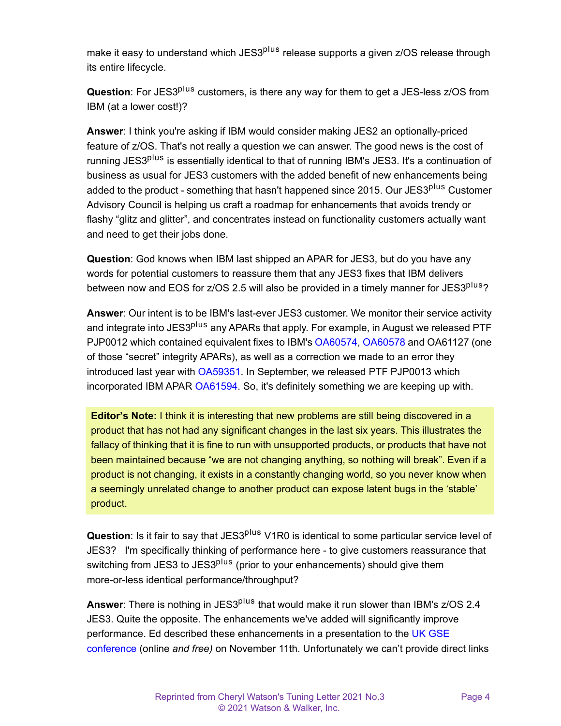make it easy to understand which JES3<sup>plus</sup> release supports a given z/OS release through its entire lifecycle.

**Question**: For JES3<sup>plus</sup> customers, is there any way for them to get a JES-less z/OS from IBM (at a lower cost!)?

**Answer**: I think you're asking if IBM would consider making JES2 an optionally-priced feature of z/OS. That's not really a question we can answer. The good news is the cost of running JES3<sup>plus</sup> is essentially identical to that of running IBM's JES3. It's a continuation of business as usual for JES3 customers with the added benefit of new enhancements being added to the product - something that hasn't happened since 2015. Our JES3<sup>plus</sup> Customer Advisory Council is helping us craft a roadmap for enhancements that avoids trendy or flashy "glitz and glitter", and concentrates instead on functionality customers actually want and need to get their jobs done.

**Question**: God knows when IBM last shipped an APAR for JES3, but do you have any words for potential customers to reassure them that any JES3 fixes that IBM delivers between now and EOS for z/OS 2.5 will also be provided in a timely manner for JES3<sup>plus</sup>?

**Answer**: Our intent is to be IBM's last-ever JES3 customer. We monitor their service activity and integrate into JES3<sup>plus</sup> any APARs that apply. For example, in August we released PTF PJP0012 which contained equivalent fixes to IBM's [OA60574](https://www.ibm.com/support/pages/apar/OA60574), [OA60578](https://www.ibm.com/support/pages/apar/OA60578) and OA61127 (one of those "secret" integrity APARs), as well as a correction we made to an error they introduced last year with [OA59351.](https://www.ibm.com/support/pages/apar/OA59351) In September, we released PTF PJP0013 which incorporated IBM APAR [OA61594.](https://www.ibm.com/support/pages/apar/OA61594) So, it's definitely something we are keeping up with.

**Editor's Note:** I think it is interesting that new problems are still being discovered in a product that has not had any significant changes in the last six years. This illustrates the fallacy of thinking that it is fine to run with unsupported products, or products that have not been maintained because "we are not changing anything, so nothing will break". Even if a product is not changing, it exists in a constantly changing world, so you never know when a seemingly unrelated change to another product can expose latent bugs in the 'stable' product.

**Question**: Is it fair to say that JES3<sup>plus</sup> V1R0 is identical to some particular service level of JES3? I'm specifically thinking of performance here - to give customers reassurance that switching from JES3 to JES3<sup>plus</sup> (prior to your enhancements) should give them more-or-less identical performance/throughput?

**Answer**: There is nothing in JES3<sup>plus</sup> that would make it run slower than IBM's z/OS 2.4 JES3. Quite the opposite. The enhancements we've added will significantly improve performance. Ed described these enhancements in a presentation to the [UK GSE](https://conferences.gse.org.uk/2021/agenda)  [conference](https://conferences.gse.org.uk/2021/agenda) (online *and free)* on November 11th. Unfortunately we can't provide direct links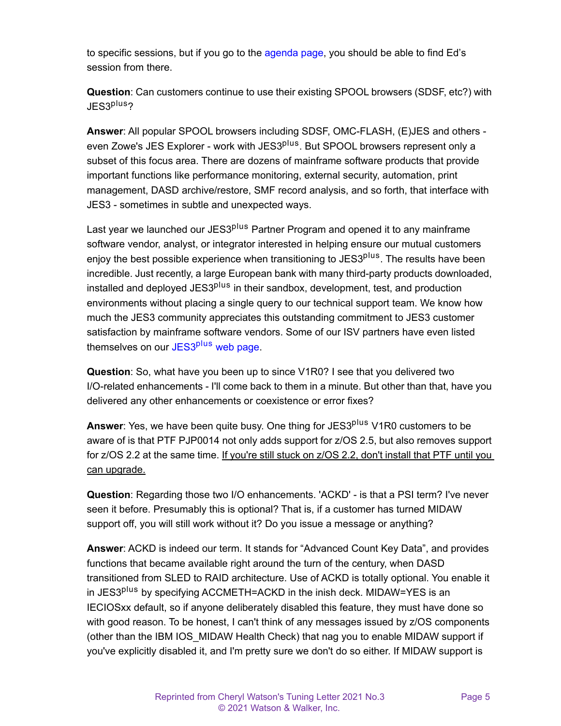to specific sessions, but if you go to the [agenda page](https://conferences.gse.org.uk/2021/agenda), you should be able to find Ed's session from there.

**Question**: Can customers continue to use their existing SPOOL browsers (SDSF, etc?) with JES3plus?

**Answer**: All popular SPOOL browsers including SDSF, OMC-FLASH, (E)JES and others even Zowe's JES Explorer - work with JES3<sup>plus</sup>. But SPOOL browsers represent only a subset of this focus area. There are dozens of mainframe software products that provide important functions like performance monitoring, external security, automation, print management, DASD archive/restore, SMF record analysis, and so forth, that interface with JES3 - sometimes in subtle and unexpected ways.

Last vear we launched our JES3<sup>plus</sup> Partner Program and opened it to any mainframe software vendor, analyst, or integrator interested in helping ensure our mutual customers enjoy the best possible experience when transitioning to JES3<sup>plus</sup>. The results have been incredible. Just recently, a large European bank with many third-party products downloaded, installed and deployed JES3<sup>plus</sup> in their sandbox, development, test, and production environments without placing a single query to our technical support team. We know how much the JES3 community appreciates this outstanding commitment to JES3 customer satisfaction by mainframe software vendors. Some of our ISV partners have even listed themselves on our JES3<sup>plus</sup> [web page.](https://phoenixsoftware.com/jes3plus_isv.htm)

**Question**: So, what have you been up to since V1R0? I see that you delivered two I/O-related enhancements - I'll come back to them in a minute. But other than that, have you delivered any other enhancements or coexistence or error fixes?

**Answer**: Yes, we have been quite busy. One thing for JES3<sup>plus</sup> V1R0 customers to be aware of is that PTF PJP0014 not only adds support for z/OS 2.5, but also removes support for z/OS 2.2 at the same time. If you're still stuck on z/OS 2.2, don't install that PTF until you can upgrade.

**Question**: Regarding those two I/O enhancements. 'ACKD' - is that a PSI term? I've never seen it before. Presumably this is optional? That is, if a customer has turned MIDAW support off, you will still work without it? Do you issue a message or anything?

**Answer**: ACKD is indeed our term. It stands for "Advanced Count Key Data", and provides functions that became available right around the turn of the century, when DASD transitioned from SLED to RAID architecture. Use of ACKD is totally optional. You enable it in JES3<sup>plus</sup> by specifying ACCMETH=ACKD in the inish deck. MIDAW=YES is an IECIOSxx default, so if anyone deliberately disabled this feature, they must have done so with good reason. To be honest, I can't think of any messages issued by z/OS components (other than the IBM IOS\_MIDAW Health Check) that nag you to enable MIDAW support if you've explicitly disabled it, and I'm pretty sure we don't do so either. If MIDAW support is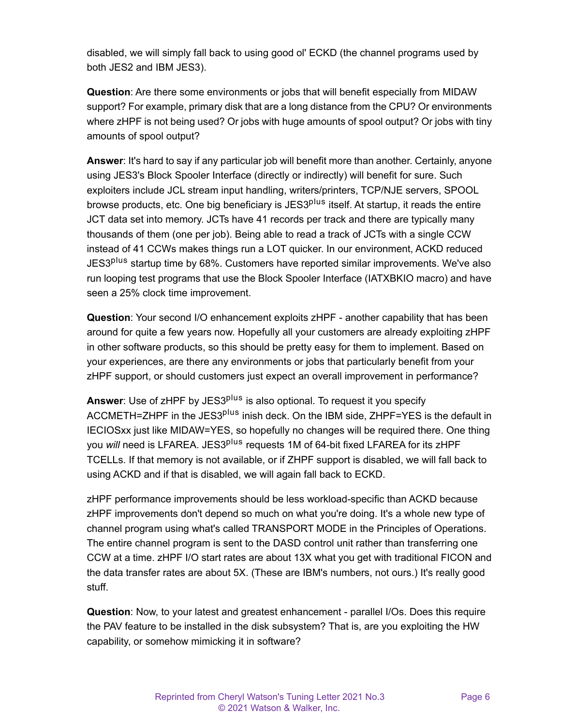disabled, we will simply fall back to using good ol' ECKD (the channel programs used by both JES2 and IBM JES3).

**Question**: Are there some environments or jobs that will benefit especially from MIDAW support? For example, primary disk that are a long distance from the CPU? Or environments where zHPF is not being used? Or jobs with huge amounts of spool output? Or jobs with tiny amounts of spool output?

**Answer**: It's hard to say if any particular job will benefit more than another. Certainly, anyone using JES3's Block Spooler Interface (directly or indirectly) will benefit for sure. Such exploiters include JCL stream input handling, writers/printers, TCP/NJE servers, SPOOL browse products, etc. One big beneficiary is JES3<sup>plus</sup> itself. At startup, it reads the entire JCT data set into memory. JCTs have 41 records per track and there are typically many thousands of them (one per job). Being able to read a track of JCTs with a single CCW instead of 41 CCWs makes things run a LOT quicker. In our environment, ACKD reduced JES3<sup>plus</sup> startup time by 68%. Customers have reported similar improvements. We've also run looping test programs that use the Block Spooler Interface (IATXBKIO macro) and have seen a 25% clock time improvement.

**Question**: Your second I/O enhancement exploits zHPF - another capability that has been around for quite a few years now. Hopefully all your customers are already exploiting zHPF in other software products, so this should be pretty easy for them to implement. Based on your experiences, are there any environments or jobs that particularly benefit from your zHPF support, or should customers just expect an overall improvement in performance?

**Answer:** Use of zHPF by JES3<sup>plus</sup> is also optional. To request it you specify ACCMETH=ZHPF in the JES3<sup>plus</sup> inish deck. On the IBM side, ZHPF=YES is the default in IECIOSxx just like MIDAW=YES, so hopefully no changes will be required there. One thing you *will* need is LFAREA. JES3<sup>plus</sup> requests 1M of 64-bit fixed LFAREA for its zHPF TCELLs. If that memory is not available, or if ZHPF support is disabled, we will fall back to using ACKD and if that is disabled, we will again fall back to ECKD.

zHPF performance improvements should be less workload-specific than ACKD because zHPF improvements don't depend so much on what you're doing. It's a whole new type of channel program using what's called TRANSPORT MODE in the Principles of Operations. The entire channel program is sent to the DASD control unit rather than transferring one CCW at a time. zHPF I/O start rates are about 13X what you get with traditional FICON and the data transfer rates are about 5X. (These are IBM's numbers, not ours.) It's really good stuff.

**Question**: Now, to your latest and greatest enhancement - parallel I/Os. Does this require the PAV feature to be installed in the disk subsystem? That is, are you exploiting the HW capability, or somehow mimicking it in software?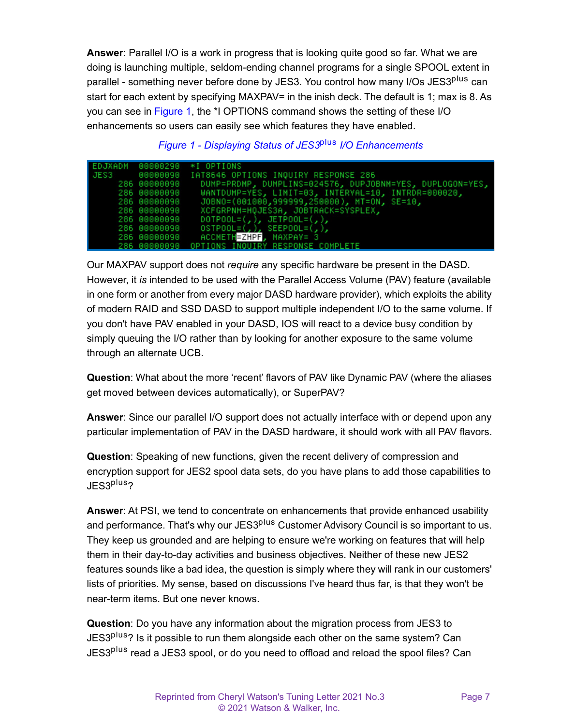**Answer**: Parallel I/O is a work in progress that is looking quite good so far. What we are doing is launching multiple, seldom-ending channel programs for a single SPOOL extent in parallel - something never before done by JES3. You control how many I/Os JES3<sup>plus</sup> can start for each extent by specifying MAXPAV= in the inish deck. The default is 1; max is 8. As you can see in [Figure 1,](#page-6-0) the \*I OPTIONS command shows the setting of these I/O enhancements so users can easily see which features they have enabled.

<span id="page-6-0"></span>

|              | EDJXADM 00000290 *I OPTIONS                              |
|--------------|----------------------------------------------------------|
|              |                                                          |
| 286 00000090 | DUMP=PRDMP, DUMPLINS=024576, DUPJOBNM=YES, DUPLOGON=YES, |
| 286 00000090 | WANTDUMP=YES, LIMIT=03, INTERVAL=10, INTRDR=000020,      |
| 286 00000090 | JOBNO=(001000,9999999,250000), MT=ON, SE=10,             |
| 286 00000090 | XCFGRPNM=HQJES3A, JOBTRACK=SYSPLEX,                      |
| 286 00000090 | $DOTPOOL=(, ),$ $JETPOOL=(, ),$                          |
| 286 00000090 | $OSTPOOL=(, ), SEEPOOL=(, ),$                            |
| 286 00000090 | ACCMETHEZHPF, MAXPAV= 3                                  |
|              | 286 00000090 OPTIONS INQUIRY RESPONSE COMPLETE           |

*Figure 1 - Displaying Status of JES3*plus *I/O Enhancements*

Our MAXPAV support does not *require* any specific hardware be present in the DASD. However, it *is* intended to be used with the Parallel Access Volume (PAV) feature (available in one form or another from every major DASD hardware provider), which exploits the ability of modern RAID and SSD DASD to support multiple independent I/O to the same volume. If you don't have PAV enabled in your DASD, IOS will react to a device busy condition by simply queuing the I/O rather than by looking for another exposure to the same volume through an alternate UCB.

**Question**: What about the more 'recent' flavors of PAV like Dynamic PAV (where the aliases get moved between devices automatically), or SuperPAV?

**Answer**: Since our parallel I/O support does not actually interface with or depend upon any particular implementation of PAV in the DASD hardware, it should work with all PAV flavors.

**Question**: Speaking of new functions, given the recent delivery of compression and encryption support for JES2 spool data sets, do you have plans to add those capabilities to JES3plus?

**Answer**: At PSI, we tend to concentrate on enhancements that provide enhanced usability and performance. That's why our JES3<sup>plus</sup> Customer Advisory Council is so important to us. They keep us grounded and are helping to ensure we're working on features that will help them in their day-to-day activities and business objectives. Neither of these new JES2 features sounds like a bad idea, the question is simply where they will rank in our customers' lists of priorities. My sense, based on discussions I've heard thus far, is that they won't be near-term items. But one never knows.

**Question**: Do you have any information about the migration process from JES3 to JES3<sup>plus</sup>? Is it possible to run them alongside each other on the same system? Can JES3<sup>plus</sup> read a JES3 spool, or do you need to offload and reload the spool files? Can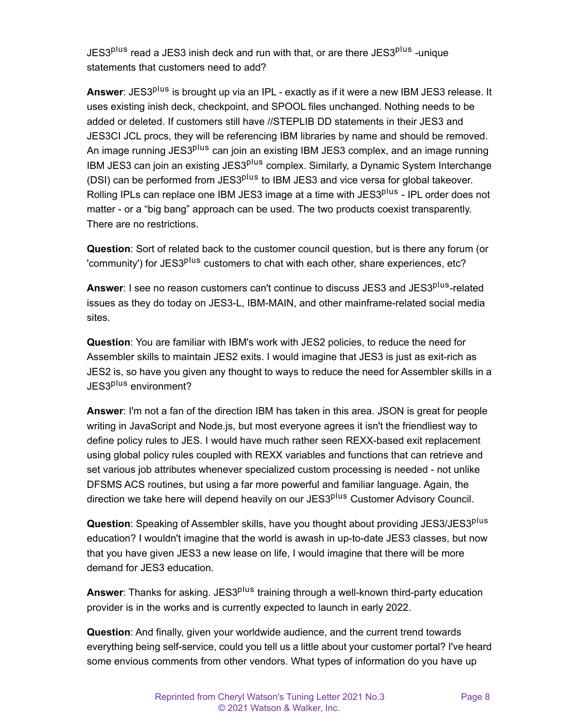JES3<sup>plus</sup> read a JES3 inish deck and run with that, or are there JES3<sup>plus</sup> -unique statements that customers need to add?

**Answer**: JES3<sup>plus</sup> is brought up via an IPL - exactly as if it were a new IBM JES3 release. It uses existing inish deck, checkpoint, and SPOOL files unchanged. Nothing needs to be added or deleted. If customers still have //STEPLIB DD statements in their JES3 and JES3CI JCL procs, they will be referencing IBM libraries by name and should be removed. An image running JES3<sup>plus</sup> can join an existing IBM JES3 complex, and an image running IBM JES3 can join an existing JES3<sup>plus</sup> complex. Similarly, a Dynamic System Interchange (DSI) can be performed from JES3<sup>plus</sup> to IBM JES3 and vice versa for global takeover. Rolling IPLs can replace one IBM JES3 image at a time with JES3<sup>plus</sup> - IPL order does not matter - or a "big bang" approach can be used. The two products coexist transparently. There are no restrictions.

**Question**: Sort of related back to the customer council question, but is there any forum (or 'community') for JES3<sup>plus</sup> customers to chat with each other, share experiences, etc?

**Answer**: I see no reason customers can't continue to discuss JES3 and JES3<sup>plus</sup>-related issues as they do today on JES3-L, IBM-MAIN, and other mainframe-related social media sites.

**Question**: You are familiar with IBM's work with JES2 policies, to reduce the need for Assembler skills to maintain JES2 exits. I would imagine that JES3 is just as exit-rich as JES2 is, so have you given any thought to ways to reduce the need for Assembler skills in a JES3<sup>plus</sup> environment?

**Answer**: I'm not a fan of the direction IBM has taken in this area. JSON is great for people writing in JavaScript and Node.js, but most everyone agrees it isn't the friendliest way to define policy rules to JES. I would have much rather seen REXX-based exit replacement using global policy rules coupled with REXX variables and functions that can retrieve and set various job attributes whenever specialized custom processing is needed - not unlike DFSMS ACS routines, but using a far more powerful and familiar language. Again, the direction we take here will depend heavily on our JES3<sup>plus</sup> Customer Advisory Council.

**Question**: Speaking of Assembler skills, have you thought about providing JES3/JES3plus education? I wouldn't imagine that the world is awash in up-to-date JES3 classes, but now that you have given JES3 a new lease on life, I would imagine that there will be more demand for JES3 education.

**Answer**: Thanks for asking. JES3<sup>plus</sup> training through a well-known third-party education provider is in the works and is currently expected to launch in early 2022.

**Question**: And finally, given your worldwide audience, and the current trend towards everything being self-service, could you tell us a little about your customer portal? I've heard some envious comments from other vendors. What types of information do you have up